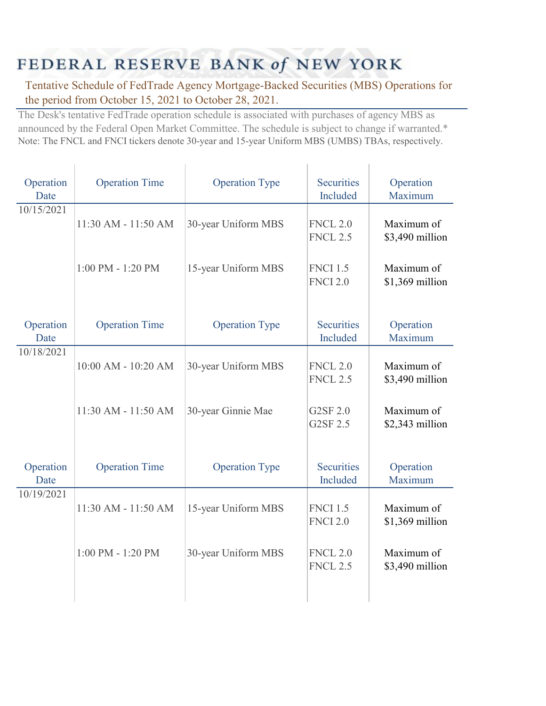## FEDERAL RESERVE BANK of NEW YORK

Tentative Schedule of FedTrade Agency Mortgage-Backed Securities (MBS) Operations for the period from October 15, 2021 to October 28, 2021.

The Desk's tentative FedTrade operation schedule is associated with purchases of agency MBS as announced by the Federal Open Market Committee. The schedule is subject to change if warranted.\* Note: The FNCL and FNCI tickers denote 30-year and 15-year Uniform MBS (UMBS) TBAs, respectively.

| Operation<br>Date | <b>Operation Time</b> | <b>Operation Type</b> | <b>Securities</b><br>Included      | Operation<br>Maximum          |
|-------------------|-----------------------|-----------------------|------------------------------------|-------------------------------|
| 10/15/2021        | 11:30 AM - 11:50 AM   | 30-year Uniform MBS   | <b>FNCL 2.0</b><br><b>FNCL 2.5</b> | Maximum of<br>\$3,490 million |
|                   | $1:00$ PM - $1:20$ PM | 15-year Uniform MBS   | <b>FNCI 1.5</b><br><b>FNCI 2.0</b> | Maximum of<br>\$1,369 million |
| Operation<br>Date | <b>Operation Time</b> | <b>Operation Type</b> | <b>Securities</b><br>Included      | Operation<br>Maximum          |
| 10/18/2021        | 10:00 AM - 10:20 AM   | 30-year Uniform MBS   | <b>FNCL 2.0</b><br><b>FNCL 2.5</b> | Maximum of<br>\$3,490 million |
|                   | 11:30 AM - 11:50 AM   | 30-year Ginnie Mae    | G2SF 2.0<br>G2SF 2.5               | Maximum of<br>\$2,343 million |
| Operation<br>Date | <b>Operation Time</b> | <b>Operation Type</b> | <b>Securities</b><br>Included      | Operation<br>Maximum          |
| 10/19/2021        | 11:30 AM - 11:50 AM   | 15-year Uniform MBS   | <b>FNCI 1.5</b><br><b>FNCI 2.0</b> | Maximum of<br>\$1,369 million |
|                   | $1:00$ PM - $1:20$ PM | 30-year Uniform MBS   | <b>FNCL 2.0</b><br><b>FNCL 2.5</b> | Maximum of<br>\$3,490 million |
|                   |                       |                       |                                    |                               |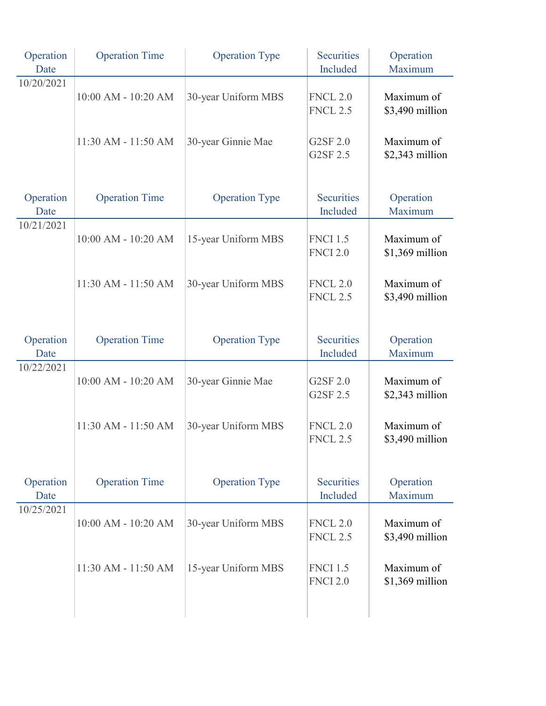| Operation<br>Date | <b>Operation Time</b> | <b>Operation Type</b> | <b>Securities</b><br>Included      | Operation<br>Maximum           |
|-------------------|-----------------------|-----------------------|------------------------------------|--------------------------------|
| 10/20/2021        | 10:00 AM - 10:20 AM   | 30-year Uniform MBS   | <b>FNCL 2.0</b><br><b>FNCL 2.5</b> | Maximum of<br>\$3,490 million  |
|                   | 11:30 AM - 11:50 AM   | 30-year Ginnie Mae    | G2SF 2.0<br>G2SF 2.5               | Maximum of<br>\$2,343 million  |
| Operation<br>Date | <b>Operation Time</b> | <b>Operation Type</b> | <b>Securities</b><br>Included      | Operation<br>Maximum           |
| 10/21/2021        | 10:00 AM - 10:20 AM   | 15-year Uniform MBS   | <b>FNCI 1.5</b><br><b>FNCI 2.0</b> | Maximum of<br>\$1,369 million  |
|                   | 11:30 AM - 11:50 AM   | 30-year Uniform MBS   | <b>FNCL 2.0</b><br><b>FNCL 2.5</b> | Maximum of<br>\$3,490 million  |
| Operation<br>Date | <b>Operation Time</b> | <b>Operation Type</b> | <b>Securities</b><br>Included      | Operation<br>Maximum           |
| 10/22/2021        | 10:00 AM - 10:20 AM   | 30-year Ginnie Mae    | G2SF 2.0<br>G2SF 2.5               | Maximum of<br>\$2,343 million  |
|                   | 11:30 AM - 11:50 AM   | 30-year Uniform MBS   | <b>FNCL 2.0</b><br><b>FNCL 2.5</b> | Maximum of<br>\$3,490 million  |
| Operation<br>Date | <b>Operation Time</b> | <b>Operation Type</b> | <b>Securities</b><br>Included      | Operation<br>Maximum           |
| 10/25/2021        | 10:00 AM - 10:20 AM   | 30-year Uniform MBS   | <b>FNCL 2.0</b><br><b>FNCL 2.5</b> | Maximum of<br>\$3,490 million  |
|                   | 11:30 AM - 11:50 AM   | 15-year Uniform MBS   | <b>FNCI 1.5</b><br><b>FNCI 2.0</b> | Maximum of<br>$$1,369$ million |
|                   |                       |                       |                                    |                                |